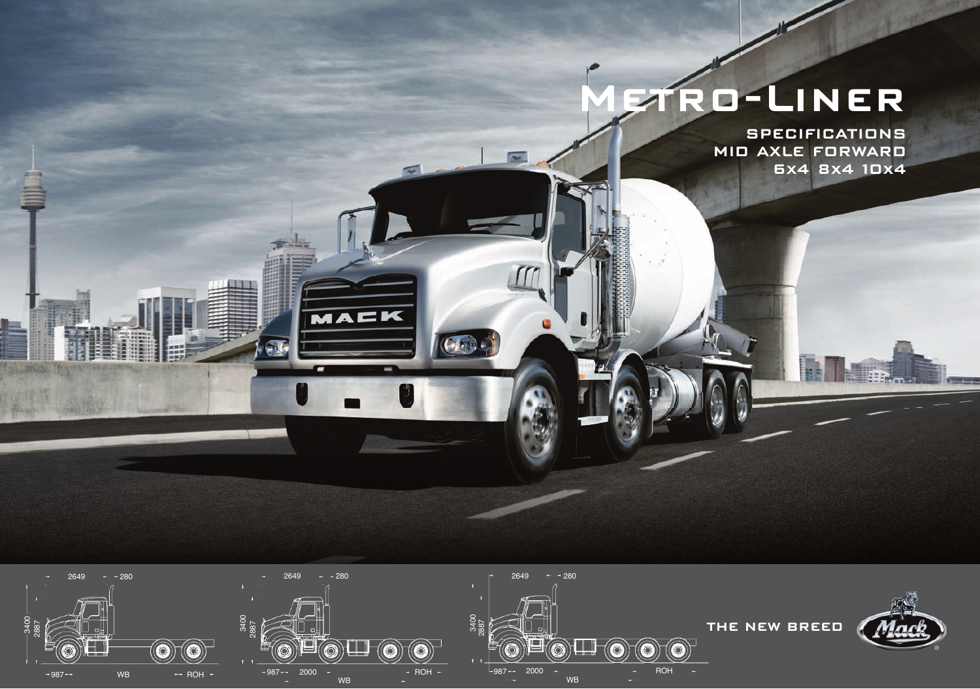# **Metro-Liner**

**SPECIFICATIONS MID AXLE FORWARD 6x4 8x4 10x4**



 $G_{\mathbb{F}}$ 

 $\frac{1}{\sqrt{2}}$ 

 $20 - 20$ 

 $\bigoplus$ 

MACK

 $\mathbb{Z}$